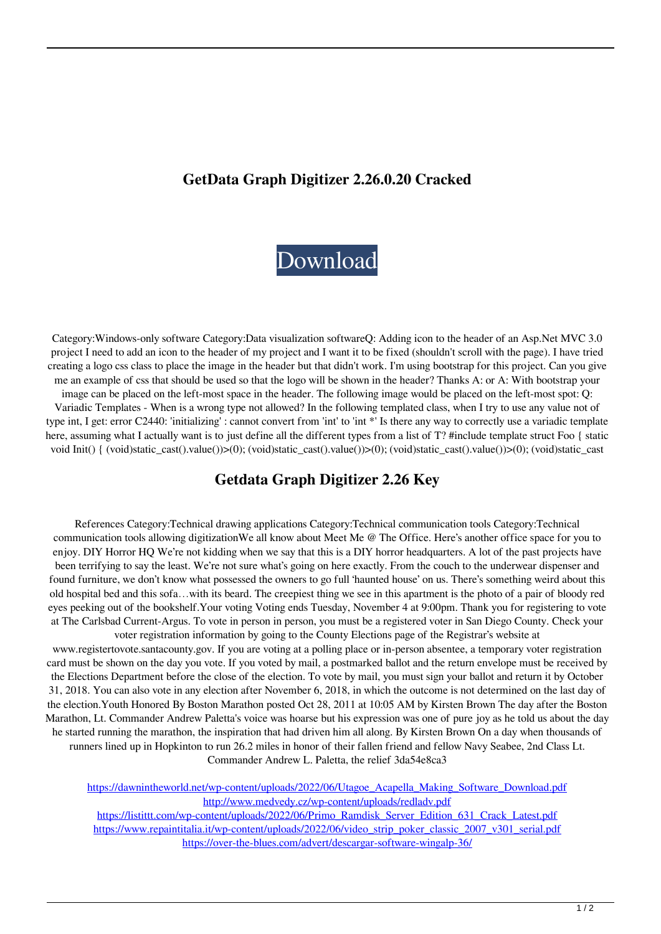## **GetData Graph Digitizer 2.26.0.20 Cracked**

## [Download](http://evacdir.com/ofna/babylonian.cleveland?cogged/kuiken/ZG93bmxvYWR8Tno2WkhBemQzeDhNVFkxTlRnME1qazRNWHg4TWpVM05IeDhLRTBwSUhKbFlXUXRZbXh2WnlCYlJtRnpkQ0JIUlU1ZA/R2V0ZGF0YSBHcmFwaCBEaWdpdGl6ZXIgMi4yNiBLZXkR2V/rotoscope)

Category:Windows-only software Category:Data visualization softwareQ: Adding icon to the header of an Asp.Net MVC 3.0 project I need to add an icon to the header of my project and I want it to be fixed (shouldn't scroll with the page). I have tried creating a logo css class to place the image in the header but that didn't work. I'm using bootstrap for this project. Can you give me an example of css that should be used so that the logo will be shown in the header? Thanks A: or A: With bootstrap your image can be placed on the left-most space in the header. The following image would be placed on the left-most spot: Q: Variadic Templates - When is a wrong type not allowed? In the following templated class, when I try to use any value not of type int, I get: error C2440: 'initializing' : cannot convert from 'int' to 'int \*' Is there any way to correctly use a variadic template here, assuming what I actually want is to just define all the different types from a list of T? #include template struct Foo { static void Init() { (void)static\_cast().value())>(0); (void)static\_cast().value())>(0); (void)static\_cast().value())>(0); (void)static\_cast

## **Getdata Graph Digitizer 2.26 Key**

References Category:Technical drawing applications Category:Technical communication tools Category:Technical communication tools allowing digitizationWe all know about Meet Me @ The Office. Here's another office space for you to enjoy. DIY Horror HQ We're not kidding when we say that this is a DIY horror headquarters. A lot of the past projects have been terrifying to say the least. We're not sure what's going on here exactly. From the couch to the underwear dispenser and found furniture, we don't know what possessed the owners to go full 'haunted house' on us. There's something weird about this old hospital bed and this sofa…with its beard. The creepiest thing we see in this apartment is the photo of a pair of bloody red eyes peeking out of the bookshelf.Your voting Voting ends Tuesday, November 4 at 9:00pm. Thank you for registering to vote at The Carlsbad Current-Argus. To vote in person in person, you must be a registered voter in San Diego County. Check your voter registration information by going to the County Elections page of the Registrar's website at

www.registertovote.santacounty.gov. If you are voting at a polling place or in-person absentee, a temporary voter registration card must be shown on the day you vote. If you voted by mail, a postmarked ballot and the return envelope must be received by the Elections Department before the close of the election. To vote by mail, you must sign your ballot and return it by October 31, 2018. You can also vote in any election after November 6, 2018, in which the outcome is not determined on the last day of the election.Youth Honored By Boston Marathon posted Oct 28, 2011 at 10:05 AM by Kirsten Brown The day after the Boston Marathon, Lt. Commander Andrew Paletta's voice was hoarse but his expression was one of pure joy as he told us about the day he started running the marathon, the inspiration that had driven him all along. By Kirsten Brown On a day when thousands of runners lined up in Hopkinton to run 26.2 miles in honor of their fallen friend and fellow Navy Seabee, 2nd Class Lt. Commander Andrew L. Paletta, the relief 3da54e8ca3

[https://dawnintheworld.net/wp-content/uploads/2022/06/Utagoe\\_Acapella\\_Making\\_Software\\_Download.pdf](https://dawnintheworld.net/wp-content/uploads/2022/06/Utagoe_Acapella_Making_Software_Download.pdf) <http://www.medvedy.cz/wp-content/uploads/redladv.pdf> [https://listittt.com/wp-content/uploads/2022/06/Primo\\_Ramdisk\\_Server\\_Edition\\_631\\_Crack\\_Latest.pdf](https://listittt.com/wp-content/uploads/2022/06/Primo_Ramdisk_Server_Edition_631_Crack_Latest.pdf) [https://www.repaintitalia.it/wp-content/uploads/2022/06/video\\_strip\\_poker\\_classic\\_2007\\_v301\\_serial.pdf](https://www.repaintitalia.it/wp-content/uploads/2022/06/video_strip_poker_classic_2007_v301_serial.pdf) <https://over-the-blues.com/advert/descargar-software-wingalp-36/>